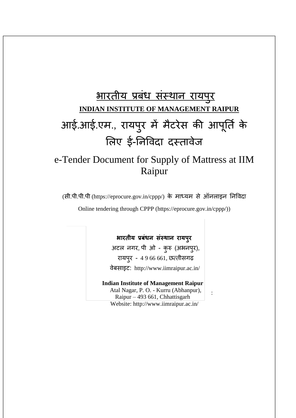# भारतीय प्रबधं संस्थान रायप ुर **INDIAN INSTITUTE OF MANAGEMENT RAIPUR** आई.आई.एम., रायप ुर में मैटरेस की आप ू र्ति के लिए ई-र्नविदा दस्तािेज

## e-Tender Document for Supply of Mattress at IIM Raipur

(सी.पी.पी.पी (https://eprocure.gov.in/cppp/) के माध्यम से ऑनिाइन र्नविदा

Online tendering through CPPP (https://eprocure.gov.in/cppp/))

### **भारतीय प्रबंधन संस्थान रायपुर**

अटल नगर, पी ओ - कुरु (अभनपुर), रायपुर - 4 9 66 661, छत्तीसगढ़ िेबसाइट: http://www.iimraipur.ac.in/

#### **Indian Institute of Management Raipur**

 Atal Nagar, P. O. - Kurru (Abhanpur), Raipur – 493 661, Chhattisgarh Website:<http://www.iimraipur.ac.in/>

: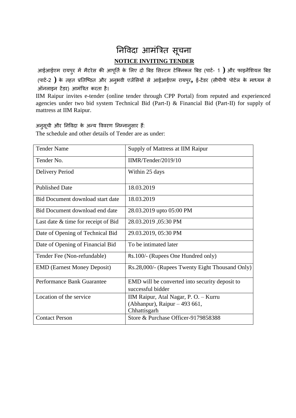# र्नविदा आमंत्रित सू चना **NOTICE INVITING TENDER**

आईआईएम रायपुर में मैटरेस की आपूर्ति के लिए दो बिड सिस्टम टेक्निकल बिड (पार्ट- 1 ) और फाइनेंशियल बिड (पाटि-2 **)** के तहत प्रर्तक्ठित और अनुभिी एजेंलसयों से आईआईएम रायपुर**,** ई-टेंडर (सीपीपी पोटिि के माध्यम से ऑनिाइन टेंडर) आमंत्रित करता है।

IIM Raipur invites e-tender (online tender through CPP Portal) from reputed and experienced agencies under two bid system Technical Bid (Part-I) & Financial Bid (Part-II) for supply of mattress at IIM Raipur.

अनुसूची और निविदा के अन्य विवरण निम्नानुसार हैं:

The schedule and other details of Tender are as under:

| <b>Tender Name</b>                    | Supply of Mattress at IIM Raipur                                                       |
|---------------------------------------|----------------------------------------------------------------------------------------|
| Tender No.                            | IIMR/Tender/2019/10                                                                    |
| Delivery Period                       | Within 25 days                                                                         |
| <b>Published Date</b>                 | 18.03.2019                                                                             |
| Bid Document download start date      | 18.03.2019                                                                             |
| Bid Document download end date        | 28.03.2019 upto 05:00 PM                                                               |
| Last date $&$ time for receipt of Bid | 28.03.2019, 05:30 PM                                                                   |
| Date of Opening of Technical Bid      | 29.03.2019, 05:30 PM                                                                   |
| Date of Opening of Financial Bid      | To be intimated later                                                                  |
| Tender Fee (Non-refundable)           | Rs.100/- (Rupees One Hundred only)                                                     |
| <b>EMD</b> (Earnest Money Deposit)    | Rs.28,000/- (Rupees Twenty Eight Thousand Only)                                        |
| Performance Bank Guarantee            | EMD will be converted into security deposit to<br>successful bidder                    |
| Location of the service               | IIM Raipur, Atal Nagar, P. O. - Kurru<br>(Abhanpur), Raipur – 493 661,<br>Chhattisgarh |
| <b>Contact Person</b>                 | Store & Purchase Officer-9179858388                                                    |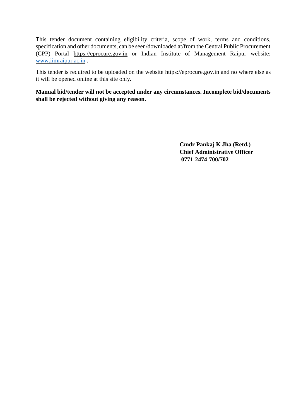This tender document containing eligibility criteria, scope of work, terms and conditions, specification and other documents, can be seen/downloaded at/from the Central Public Procurement (CPP) Portal https://eprocure.gov.in or Indian Institute of Management Raipur website[:](http://www.iimu.ac.in/) [www.iimraipur.ac.in](http://www.iimraipur.ac.in/) .

This tender is required to be uploaded on the website [https://eprocure.gov.in](https://eprocure.gov.in/) and no where else as it will be opened online at this site only.

**Manual bid/tender will not be accepted under any circumstances. Incomplete bid/documents shall be rejected without giving any reason.** 

> **Cmdr Pankaj K Jha (Retd.) Chief Administrative Officer 0771-2474-700/702**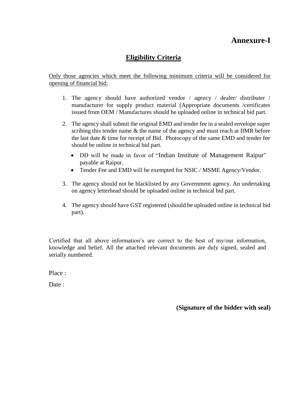### **Annexure-I**

### **Eligibility Criteria**

Only those agencies which meet the following minimum criteria will be considered for opening of financial bid:

- 1. The agency should have authorized vendor / agency / dealer/ distributer / manufacturer for supply product material (Appropriate documents /certificates issued from OEM / Manufactures should be uploaded online in technical bid part.
- 2. The agency shall submit the original EMD and tender fee in a sealed envelope super scribing this tender name & the name of the agency and must reach at IIMR before the last date & time for receipt of Bid. Photocopy of the same EMD and tender fee should be online in technical bid part.
	- DD will be made in favor of "Indian Institute of Management Raipur" payable at Raipur.
	- Tender Fee and EMD will be exempted for NSIC / MSME Agency/Vendor.
- 3. The agency should not be blacklisted by any Government agency. An undertaking on agency letterhead should be uploaded online in technical bid part.
- 4. The agency should have GST registered (should be uploaded online in technical bid part).

Certified that all above information's are correct to the best of my/our information, knowledge and belief. All the attached relevant documents are duly signed, sealed and serially numbered.

Place :

Date :

**(Signature of the bidder with seal)**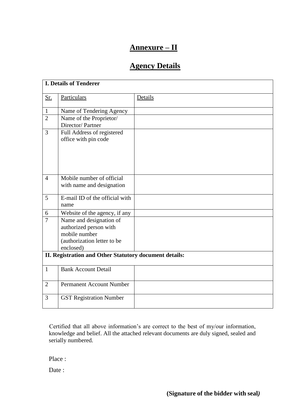### **Annexure – II**

### **Agency Details**

| <b>I. Details of Tenderer</b>                          |                                                                                                                |         |  |  |
|--------------------------------------------------------|----------------------------------------------------------------------------------------------------------------|---------|--|--|
| <u>Sr.</u>                                             | Particulars                                                                                                    | Details |  |  |
| $\mathbf{1}$                                           | Name of Tendering Agency                                                                                       |         |  |  |
| $\overline{2}$                                         | Name of the Proprietor/<br>Director/Partner                                                                    |         |  |  |
| 3                                                      | Full Address of registered<br>office with pin code                                                             |         |  |  |
| $\overline{4}$                                         | Mobile number of official<br>with name and designation                                                         |         |  |  |
| 5                                                      | E-mail ID of the official with<br>name                                                                         |         |  |  |
| 6                                                      | Website of the agency, if any                                                                                  |         |  |  |
| $\overline{7}$                                         | Name and designation of<br>authorized person with<br>mobile number<br>(authorization letter to be<br>enclosed) |         |  |  |
| II. Registration and Other Statutory document details: |                                                                                                                |         |  |  |
| $\mathbf{1}$                                           | <b>Bank Account Detail</b>                                                                                     |         |  |  |
| $\overline{2}$                                         | <b>Permanent Account Number</b>                                                                                |         |  |  |
| 3                                                      | <b>GST Registration Number</b>                                                                                 |         |  |  |

Certified that all above information's are correct to the best of my/our information, knowledge and belief. All the attached relevant documents are duly signed, sealed and serially numbered.

Place :

Date :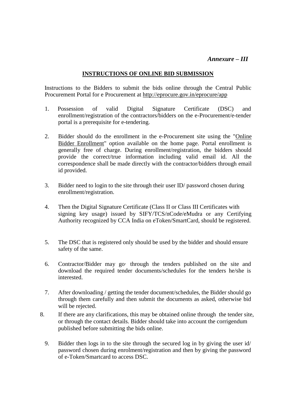### *Annexure – III*

#### **INSTRUCTIONS OF ONLINE BID SUBMISSION**

 Instructions to the Bidders to submit the bids online through the Central Public Procurement Portal for e Procurement at<http://eprocure.gov.in/eprocure/app>

- 1. Possession of valid Digital Signature Certificate (DSC) and enrollment/registration of the contractors/bidders on the e-Procurement/e-tender portal is a prerequisite for e-tendering.
- 2. Bidder should do the enrollment in the e-Procurement site using the "Online Bidder Enrollment" option available on the home page. Portal enrollment is generally free of charge. During enrollment/registration, the bidders should provide the correct/true information including valid email id. All the correspondence shall be made directly with the contractor/bidders through email id provided.
- 3. Bidder need to login to the site through their user ID/ password chosen during enrollment/registration.
- 4. Then the Digital Signature Certificate (Class II or Class III Certificates with signing key usage) issued by SIFY/TCS/nCode/eMudra or any Certifying Authority recognized by CCA India on eToken/SmartCard, should be registered.
- 5. The DSC that is registered only should be used by the bidder and should ensure safety of the same.
- 6. Contractor/Bidder may go· through the tenders published on the site and download the required tender documents/schedules for the tenders he/she is interested.
- 7. After downloading / getting the tender document/schedules, the Bidder should go through them carefully and then submit the documents as asked, otherwise bid will be rejected.
- 8. If there are any clarifications, this may be obtained online through the tender site, or through the contact details. Bidder should take into account the corrigendum published before submitting the bids online.
	- 9. Bidder then logs in to the site through the secured log in by giving the user id/ password chosen during enrolment/registration and then by giving the password of e-Token/Smartcard to access DSC.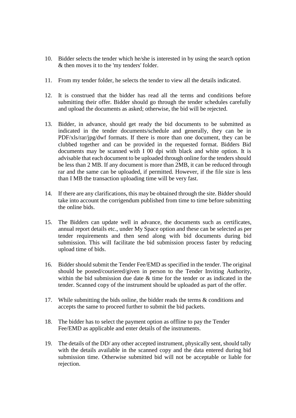- 10. Bidder selects the tender which he/she is interested in by using the search option & then moves it to the 'my tenders' folder.
- 11. From my tender folder, he selects the tender to view all the details indicated.
- 12. It is construed that the bidder has read all the terms and conditions before submitting their offer. Bidder should go through the tender schedules carefully and upload the documents as asked; otherwise, the bid will be rejected.
- 13. Bidder, in advance, should get ready the bid documents to be submitted as indicated in the tender documents/schedule and generally, they can be in PDF/xls/rar/jpg/dwf formats. If there is more than one document, they can be clubbed together and can be provided in the requested format. Bidders Bid documents may be scanned with I 00 dpi with black and white option. It is advisable that each document to be uploaded through online for the tenders should be less than 2 MB. If any document is more than 2MB, it can be reduced through rar and the same can be uploaded, if permitted. However, if the file size is less than I MB the transaction uploading time will be very fast.
- 14. If there are any clarifications, this may be obtained through the site. Bidder should take into account the corrigendum published from time to time before submitting the online bids.
- 15. The Bidders can update well in advance, the documents such as certificates, annual report details etc., under My Space option and these can be selected as per tender requirements and then send along with bid documents during bid submission. This will facilitate the bid submission process faster by reducing upload time of bids.
- 16. Bidder should submit the Tender Fee/EMD as specified in the tender. The original should be posted/couriered/given in person to the Tender Inviting Authority, within the bid submission due date & time for the tender or as indicated in the tender. Scanned copy of the instrument should be uploaded as part of the offer.
- 17. While submitting the bids online, the bidder reads the terms & conditions and accepts the same to proceed further to submit the bid packets.
- 18. The bidder has to select the payment option as offline to pay the Tender Fee/EMD as applicable and enter details of the instruments.
- 19. The details of the DD/ any other accepted instrument, physically sent, should tally with the details available in the scanned copy and the data entered during bid submission time. Otherwise submitted bid will not be acceptable or liable for rejection.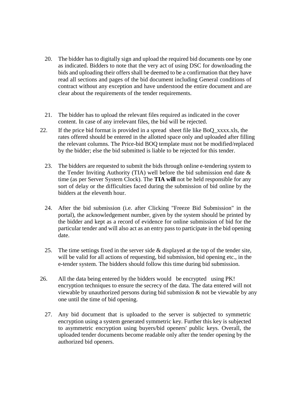- 20. The bidder has to digitally sign and upload the required bid documents one by one as indicated. Bidders to note that the very act of using DSC for downloading the bids and uploading their offers shall be deemed to be a confirmation that they have read all sections and pages of the bid document including General conditions of contract without any exception and have understood the entire document and are clear about the requirements of the tender requirements.
- 21. The bidder has to upload the relevant files required as indicated in the cover content. In case of any irrelevant files, the bid will be rejected.
- 22. If the price bid format is provided in a spread sheet file like BoQ\_xxxx.xls, the rates offered should be entered in the allotted space only and uploaded after filling the relevant columns. The Price-bid BOQ template must not be modified/replaced by the bidder; else the bid submitted is liable to be rejected for this tender.
	- 23. The bidders are requested to submit the bids through online e-tendering system to the Tender Inviting Authority (TIA) well before the bid submission end date  $\&$ time (as per Server System Clock). The **TIA will** not be held responsible for any sort of delay or the difficulties faced during the submission of bid online by the bidders at the eleventh hour.
	- 24. After the bid submission (i.e. after Clicking "Freeze Bid Submission" in the portal), the acknowledgement number, given by the system should be printed by the bidder and kept as a record of evidence for online submission of bid for the particular tender and will also act as an entry pass to participate in the bid opening date.
	- 25. The time settings fixed in the server side & displayed at the top of the tender site, will be valid for all actions of requesting, bid submission, bid opening etc., in the e-tender system. The bidders should follow this time during bid submission.
- 26. All the data being entered by the bidders would be encrypted using PK! encryption techniques to ensure the secrecy of the data. The data entered will not viewable by unauthorized persons during bid submission & not be viewable by any one until the time of bid opening.
	- 27. Any bid document that is uploaded to the server is subjected to symmetric encryption using a system generated symmetric key. Further this key is subjected to asymmetric encryption using buyers/bid openers' public keys. Overall, the uploaded tender documents become readable only after the tender opening by the authorized bid openers.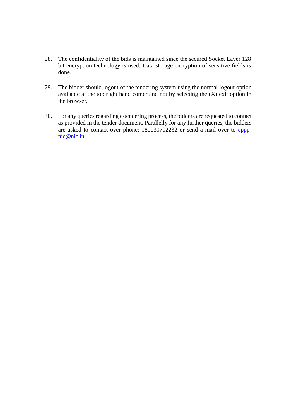- 28. The confidentiality of the bids is maintained since the secured Socket Layer 128 bit encryption technology is used. Data storage encryption of sensitive fields is done.
- 29. The bidder should logout of the tendering system using the normal logout option available at the top right hand comer and not by selecting the (X) exit option in the browser.
- 30. For any queries regarding e-tendering process, the bidders are requested to contact as provided in the tender document. Parallelly for any further queries, the bidders are asked to contact over phone: 180030702232 or send a mail over to [cppp](mailto:cppp-nic@nic.in.)[nic@nic.in.](mailto:cppp-nic@nic.in.)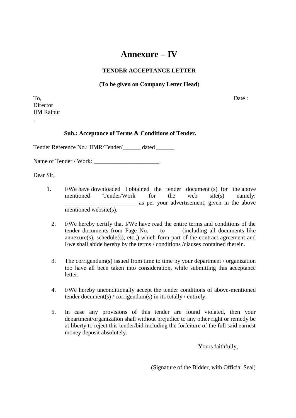### **Annexure – IV**

#### **TENDER ACCEPTANCE LETTER**

#### **(To be given on Company Letter Head**)

To, Date : **Director** IIM Raipur

.

#### **Sub.: Acceptance of Terms & Conditions of Tender.**

Tender Reference No.: IIMR/Tender/\_\_\_\_\_\_ dated \_\_\_\_\_\_

Name of Tender / Work:

Dear Sir,

- 1. I/We have downloaded I obtained the tender document (s) for the above mentioned 'Tender/Work' for the web site(s) namely: \_\_\_\_\_\_\_\_\_\_\_\_\_\_\_\_\_\_\_\_\_\_\_\_ as per your advertisement, given in the above mentioned website(s).
	- 2. I/We hereby certify that I/We have read the entire terms and conditions of the tender documents from Page No.\_\_\_\_to\_\_\_\_\_ (including all documents like  $annexure(s)$ ,  $sehedule(s)$ ,  $etc.,$ ) which form part of the contract agreement and I/we shall abide hereby by the terms / conditions /clauses contained therein.
	- 3. The corrigendum(s) issued from time to time by your department / organization too have all been taken into consideration, while submitting this acceptance letter.
	- 4. I/We hereby unconditionally accept the tender conditions of above-mentioned tender document(s) / corrigendum(s) in its totally / entirely.
	- 5. In case any provisions of this tender are found violated, then your department/organization shall without prejudice to any other right or remedy be at liberty to reject this tender/bid including the forfeiture of the full said earnest money deposit absolutely.

Yours faithfully,

(Signature of the Bidder, with Official Seal)